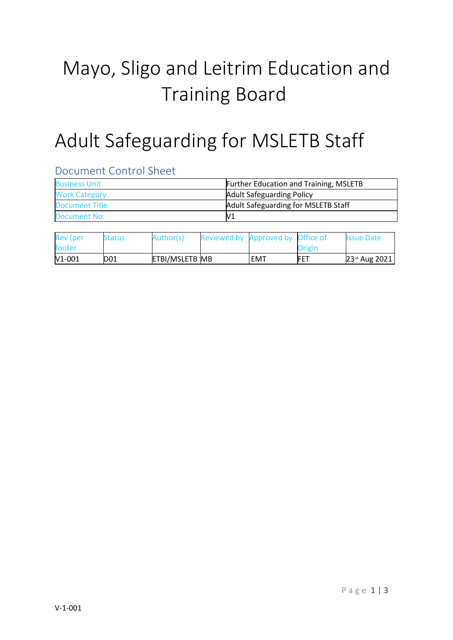# Mayo, Sligo and Leitrim Education and Training Board

## Adult Safeguarding for MSLETB Staff

#### Document Control Sheet

| <b>Business Unit</b>  | <b>Further Education and Training, MSLETB</b> |  |  |  |
|-----------------------|-----------------------------------------------|--|--|--|
| <b>Work Category</b>  | <b>Adult Safeguarding Policy</b>              |  |  |  |
| <b>Document Title</b> | Adult Safeguarding for MSLETB Staff           |  |  |  |
| Document No:          | V1                                            |  |  |  |

| <b>Rev</b> (per | <b>Status</b>   | Author(s)             | Reviewed by Approved by Office of |     |            | <b>Issue Date</b> |
|-----------------|-----------------|-----------------------|-----------------------------------|-----|------------|-------------------|
| footer          |                 |                       |                                   |     | Origin     |                   |
| $V1-001$        | D <sub>01</sub> | <b>ETBI/MSLETB MB</b> |                                   | EMT | <b>FET</b> | $23rd$ Aug 2021   |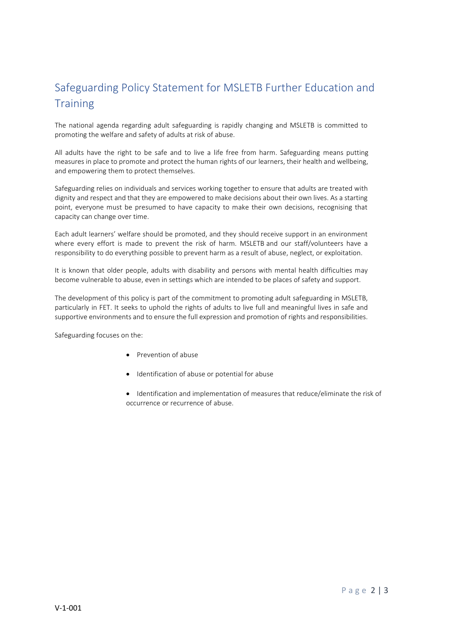### Safeguarding Policy Statement for MSLETB Further Education and **Training**

The national agenda regarding adult safeguarding is rapidly changing and MSLETB is committed to promoting the welfare and safety of adults at risk of abuse.

All adults have the right to be safe and to live a life free from harm. Safeguarding means putting measures in place to promote and protect the human rights of our learners, their health and wellbeing, and empowering them to protect themselves.

Safeguarding relies on individuals and services working together to ensure that adults are treated with dignity and respect and that they are empowered to make decisions about their own lives. As a starting point, everyone must be presumed to have capacity to make their own decisions, recognising that capacity can change over time.

Each adult learners' welfare should be promoted, and they should receive support in an environment where every effort is made to prevent the risk of harm. MSLETB and our staff/volunteers have a responsibility to do everything possible to prevent harm as a result of abuse, neglect, or exploitation.

It is known that older people, adults with disability and persons with mental health difficulties may become vulnerable to abuse, even in settings which are intended to be places of safety and support.

The development of this policy is part of the commitment to promoting adult safeguarding in MSLETB, particularly in FET. It seeks to uphold the rights of adults to live full and meaningful lives in safe and supportive environments and to ensure the full expression and promotion of rights and responsibilities.

Safeguarding focuses on the:

- Prevention of abuse
- $\bullet$  Identification of abuse or potential for abuse
- Identification and implementation of measures that reduce/eliminate the risk of occurrence or recurrence of abuse.